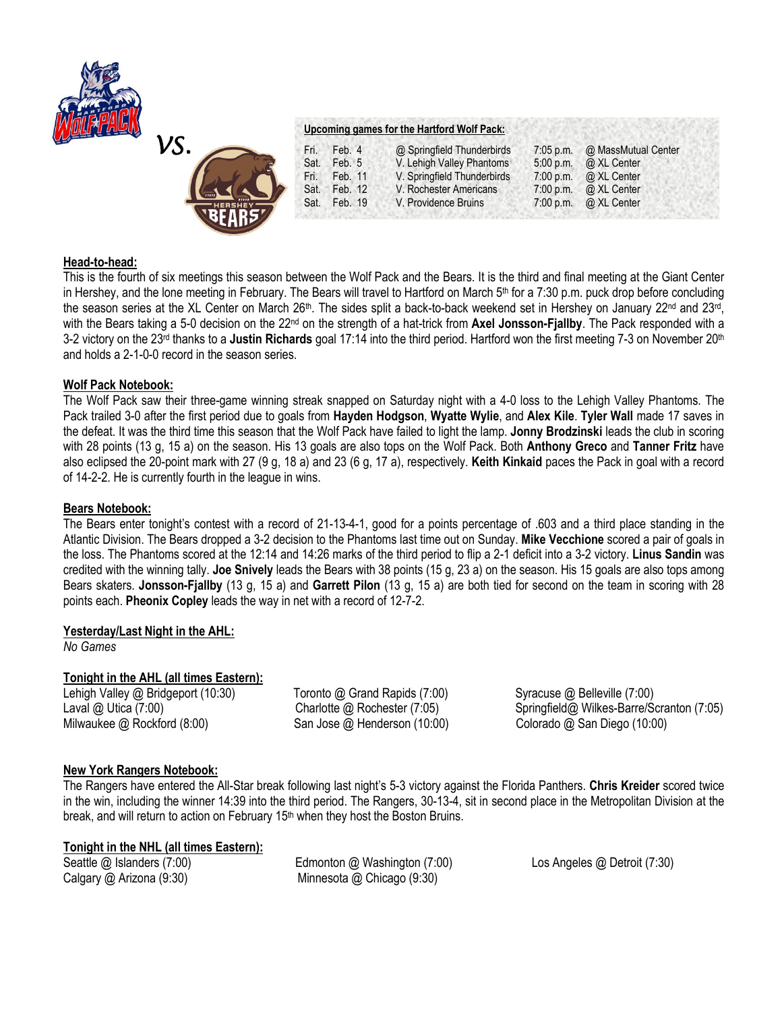



## **Upcoming games for the Hartford Wolf Pack:**

| Fri. | Feb. 4       | @ Springfield Thunderbirds  | $7:05$ p.m. | @ MassMutual Center          |
|------|--------------|-----------------------------|-------------|------------------------------|
| Sat. | Feb. 5       | V. Lehigh Valley Phantoms   | 5:00 p.m.   | @ XL Center                  |
| Fri. | Feb. 11      | V. Springfield Thunderbirds | 7:00 p.m.   | @ XL Center                  |
|      | Sat. Feb. 12 | V. Rochester Americans      | 7:00 p.m.   | @ XL Center                  |
|      | Sat. Feb. 19 | V. Providence Bruins        |             | 7:00 p.m. $\omega$ XL Center |
|      |              |                             |             |                              |

# **Head-to-head:**

This is the fourth of six meetings this season between the Wolf Pack and the Bears. It is the third and final meeting at the Giant Center in Hershey, and the lone meeting in February. The Bears will travel to Hartford on March 5<sup>th</sup> for a 7:30 p.m. puck drop before concluding the season series at the XL Center on March 26<sup>th</sup>. The sides split a back-to-back weekend set in Hershey on January 22<sup>nd</sup> and 23<sup>rd</sup>, with the Bears taking a 5-0 decision on the 22nd on the strength of a hat-trick from **Axel Jonsson-Fjallby**. The Pack responded with a 3-2 victory on the 23rd thanks to a **Justin Richards** goal 17:14 into the third period. Hartford won the first meeting 7-3 on November 20th and holds a 2-1-0-0 record in the season series.

## **Wolf Pack Notebook:**

The Wolf Pack saw their three-game winning streak snapped on Saturday night with a 4-0 loss to the Lehigh Valley Phantoms. The Pack trailed 3-0 after the first period due to goals from **Hayden Hodgson**, **Wyatte Wylie**, and **Alex Kile**. **Tyler Wall** made 17 saves in the defeat. It was the third time this season that the Wolf Pack have failed to light the lamp. **Jonny Brodzinski** leads the club in scoring with 28 points (13 g, 15 a) on the season. His 13 goals are also tops on the Wolf Pack. Both **Anthony Greco** and **Tanner Fritz** have also eclipsed the 20-point mark with 27 (9 g, 18 a) and 23 (6 g, 17 a), respectively. **Keith Kinkaid** paces the Pack in goal with a record of 14-2-2. He is currently fourth in the league in wins.

### **Bears Notebook:**

The Bears enter tonight's contest with a record of 21-13-4-1, good for a points percentage of .603 and a third place standing in the Atlantic Division. The Bears dropped a 3-2 decision to the Phantoms last time out on Sunday. **Mike Vecchione** scored a pair of goals in the loss. The Phantoms scored at the 12:14 and 14:26 marks of the third period to flip a 2-1 deficit into a 3-2 victory. **Linus Sandin** was credited with the winning tally. **Joe Snively** leads the Bears with 38 points (15 g, 23 a) on the season. His 15 goals are also tops among Bears skaters. **Jonsson-Fjallby** (13 g, 15 a) and **Garrett Pilon** (13 g, 15 a) are both tied for second on the team in scoring with 28 points each. **Pheonix Copley** leads the way in net with a record of 12-7-2.

# **Yesterday/Last Night in the AHL:**

*No Games*

# **Tonight in the AHL (all times Eastern):**

Milwaukee @ Rockford (8:00) San Jose @ Henderson (10:00) Colorado @ San Diego (10:00)

Lehigh Valley @ Bridgeport (10:30) Toronto @ Grand Rapids (7:00) Syracuse @ Belleville (7:00)

Laval @ Utica (7:00) Charlotte @ Rochester (7:05) Springfield@ Wilkes-Barre/Scranton (7:05)

# **New York Rangers Notebook:**

The Rangers have entered the All-Star break following last night's 5-3 victory against the Florida Panthers. **Chris Kreider** scored twice in the win, including the winner 14:39 into the third period. The Rangers, 30-13-4, sit in second place in the Metropolitan Division at the break, and will return to action on February 15<sup>th</sup> when they host the Boston Bruins.

# **Tonight in the NHL (all times Eastern):**

Seattle @ Islanders (7:00) Edmonton @ Washington (7:00) Los Angeles @ Detroit (7:30) Calgary @ Arizona (9:30) Minnesota @ Chicago (9:30)